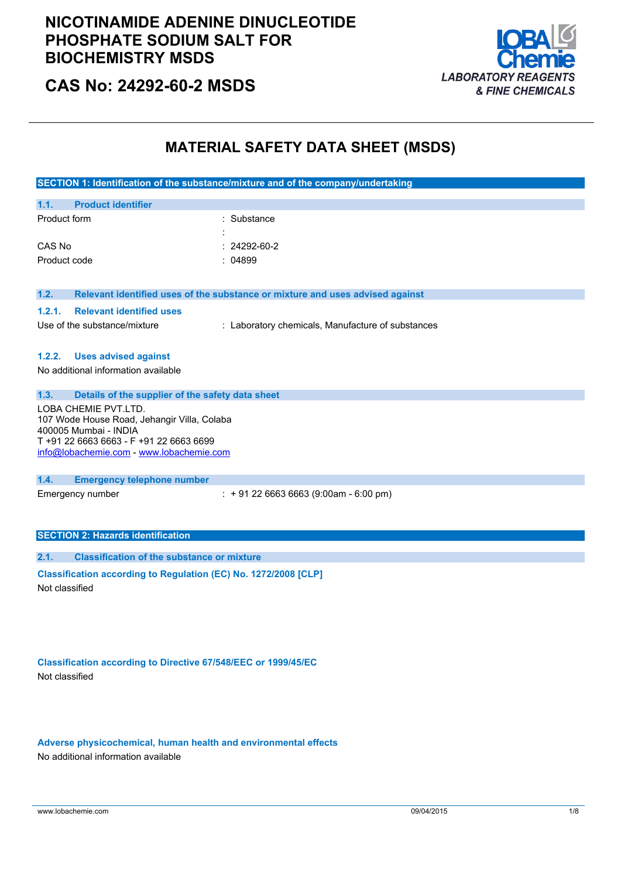

## **CAS No: 24292-60-2 MSDS**

## **MATERIAL SAFETY DATA SHEET (MSDS)**

| SECTION 1: Identification of the substance/mixture and of the company/undertaking |                                                                               |  |
|-----------------------------------------------------------------------------------|-------------------------------------------------------------------------------|--|
| <b>Product identifier</b><br>1.1.                                                 |                                                                               |  |
| Product form                                                                      | Substance                                                                     |  |
|                                                                                   |                                                                               |  |
| CAS No                                                                            | 24292-60-2                                                                    |  |
| Product code                                                                      | : 04899                                                                       |  |
|                                                                                   |                                                                               |  |
| 1.2.                                                                              | Relevant identified uses of the substance or mixture and uses advised against |  |
| 1.2.1.<br><b>Relevant identified uses</b>                                         |                                                                               |  |
| Use of the substance/mixture                                                      | : Laboratory chemicals, Manufacture of substances                             |  |
|                                                                                   |                                                                               |  |
| <b>Uses advised against</b><br>1.2.2.                                             |                                                                               |  |
| No additional information available                                               |                                                                               |  |
|                                                                                   |                                                                               |  |
| 1.3.<br>Details of the supplier of the safety data sheet                          |                                                                               |  |
| LOBA CHEMIE PVT.LTD.                                                              |                                                                               |  |
| 107 Wode House Road, Jehangir Villa, Colaba<br>400005 Mumbai - INDIA              |                                                                               |  |
| T+91 22 6663 6663 - F+91 22 6663 6699                                             |                                                                               |  |
| info@lobachemie.com - www.lobachemie.com                                          |                                                                               |  |
|                                                                                   |                                                                               |  |
| 1.4.<br><b>Emergency telephone number</b>                                         |                                                                               |  |
| Emergency number                                                                  | $\div$ + 91 22 6663 6663 (9:00am - 6:00 pm)                                   |  |
|                                                                                   |                                                                               |  |
| <b>SECTION 2: Hazards identification</b>                                          |                                                                               |  |
|                                                                                   |                                                                               |  |
| <b>Classification of the substance or mixture</b><br>2.1.                         |                                                                               |  |
| Classification according to Regulation (EC) No. 1272/2008 [CLP]                   |                                                                               |  |

Not classified

**Classification according to Directive 67/548/EEC or 1999/45/EC** Not classified

**Adverse physicochemical, human health and environmental effects** No additional information available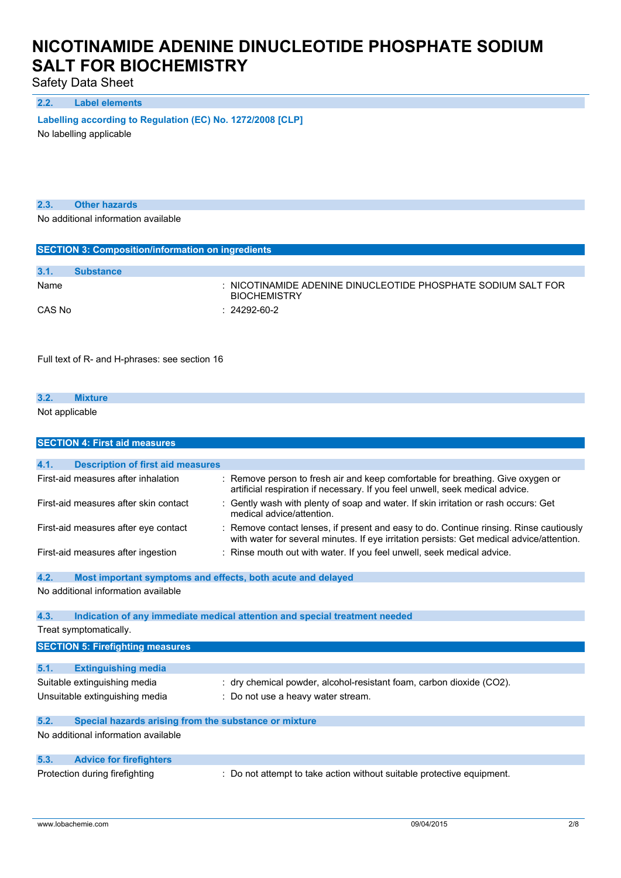Safety Data Sheet

#### **2.2. Label elements**

**Labelling according** to **Regulation** (EC) No. 1272/2008 [CLP]

No labelling applicable

**2.3. Other hazards**

No additional information available

| <b>SECTION 3: Composition/information on ingredients</b> |                  |                                                                                      |  |
|----------------------------------------------------------|------------------|--------------------------------------------------------------------------------------|--|
|                                                          |                  |                                                                                      |  |
| 3.1.                                                     | <b>Substance</b> |                                                                                      |  |
| Name                                                     |                  | : NICOTINAMIDE ADENINE DINUCLEOTIDE PHOSPHATE SODIUM SALT FOR<br><b>BIOCHEMISTRY</b> |  |
| CAS No                                                   |                  | $: 24292 - 60 - 2$                                                                   |  |

Full text of R- and H-phrases: see section 16

| 3.2.           | <b><i>sture</i></b> |  |  |  |
|----------------|---------------------|--|--|--|
| Not applicable |                     |  |  |  |

|      | <b>SECTION 4: First aid measures</b>                        |                                                                                                                                                                                   |
|------|-------------------------------------------------------------|-----------------------------------------------------------------------------------------------------------------------------------------------------------------------------------|
|      |                                                             |                                                                                                                                                                                   |
| 4.1. | <b>Description of first aid measures</b>                    |                                                                                                                                                                                   |
|      | First-aid measures after inhalation                         | Remove person to fresh air and keep comfortable for breathing. Give oxygen or<br>artificial respiration if necessary. If you feel unwell, seek medical advice.                    |
|      | First-aid measures after skin contact                       | Gently wash with plenty of soap and water. If skin irritation or rash occurs: Get<br>medical advice/attention.                                                                    |
|      | First-aid measures after eye contact                        | Remove contact lenses, if present and easy to do. Continue rinsing. Rinse cautiously<br>with water for several minutes. If eye irritation persists: Get medical advice/attention. |
|      | First-aid measures after ingestion                          | Rinse mouth out with water. If you feel unwell, seek medical advice.                                                                                                              |
| 4.2. | Most important symptoms and effects, both acute and delayed |                                                                                                                                                                                   |
|      | No additional information available                         |                                                                                                                                                                                   |
| 4.3. |                                                             | Indication of any immediate medical attention and special treatment needed                                                                                                        |
|      | Treat symptomatically.                                      |                                                                                                                                                                                   |
|      | <b>SECTION 5: Firefighting measures</b>                     |                                                                                                                                                                                   |
| 5.1. | <b>Extinguishing media</b>                                  |                                                                                                                                                                                   |
|      | Suitable extinguishing media                                | : dry chemical powder, alcohol-resistant foam, carbon dioxide (CO2).                                                                                                              |
|      | Unsuitable extinguishing media                              | : Do not use a heavy water stream.                                                                                                                                                |
| 5.2. | Special hazards arising from the substance or mixture       |                                                                                                                                                                                   |
|      | No additional information available                         |                                                                                                                                                                                   |
| 5.3. | <b>Advice for firefighters</b>                              |                                                                                                                                                                                   |
|      | Protection during firefighting                              | Do not attempt to take action without suitable protective equipment.                                                                                                              |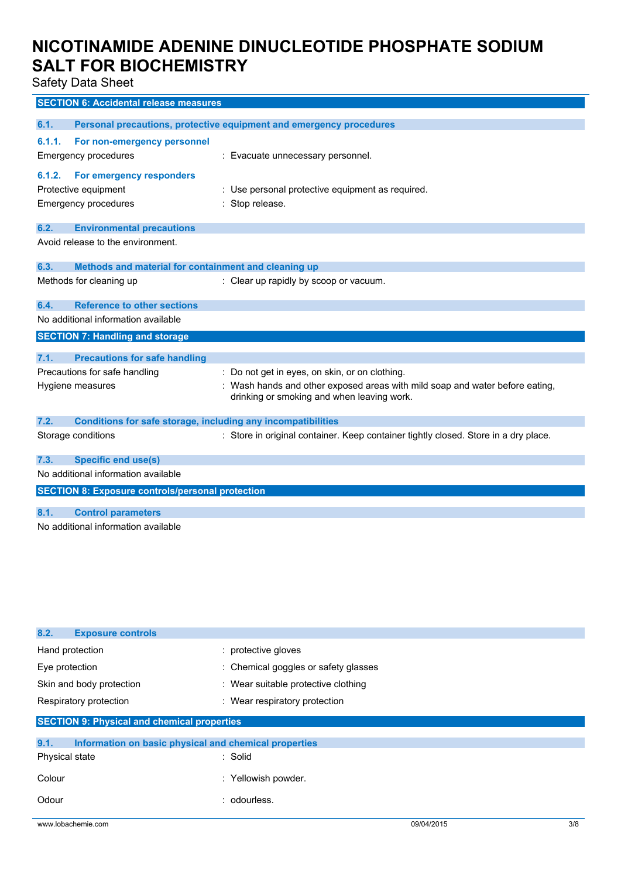Safety Data Sheet

|        | <b>SECTION 6: Accidental release measures</b>                       |                                                                                                                            |
|--------|---------------------------------------------------------------------|----------------------------------------------------------------------------------------------------------------------------|
|        |                                                                     |                                                                                                                            |
| 6.1.   |                                                                     | Personal precautions, protective equipment and emergency procedures                                                        |
| 6.1.1. | For non-emergency personnel                                         |                                                                                                                            |
|        | <b>Emergency procedures</b>                                         | : Evacuate unnecessary personnel.                                                                                          |
| 6.1.2. | For emergency responders                                            |                                                                                                                            |
|        | Protective equipment                                                | : Use personal protective equipment as required.                                                                           |
|        | <b>Emergency procedures</b>                                         | : Stop release.                                                                                                            |
|        |                                                                     |                                                                                                                            |
| 6.2.   | <b>Environmental precautions</b>                                    |                                                                                                                            |
|        | Avoid release to the environment.                                   |                                                                                                                            |
|        |                                                                     |                                                                                                                            |
| 6.3.   | Methods and material for containment and cleaning up                |                                                                                                                            |
|        | Methods for cleaning up                                             | : Clear up rapidly by scoop or vacuum.                                                                                     |
| 6.4.   | <b>Reference to other sections</b>                                  |                                                                                                                            |
|        | No additional information available                                 |                                                                                                                            |
|        | <b>SECTION 7: Handling and storage</b>                              |                                                                                                                            |
|        |                                                                     |                                                                                                                            |
| 7.1.   | <b>Precautions for safe handling</b>                                |                                                                                                                            |
|        | Precautions for safe handling                                       | : Do not get in eyes, on skin, or on clothing.                                                                             |
|        | Hygiene measures                                                    | : Wash hands and other exposed areas with mild soap and water before eating,<br>drinking or smoking and when leaving work. |
| 7.2.   | <b>Conditions for safe storage, including any incompatibilities</b> |                                                                                                                            |
|        | Storage conditions                                                  | : Store in original container. Keep container tightly closed. Store in a dry place.                                        |
| 7.3.   | <b>Specific end use(s)</b>                                          |                                                                                                                            |
|        | No additional information available                                 |                                                                                                                            |
|        | <b>SECTION 8: Exposure controls/personal protection</b>             |                                                                                                                            |
|        |                                                                     |                                                                                                                            |
| 8.1.   | <b>Control parameters</b>                                           |                                                                                                                            |
|        | No additional information available                                 |                                                                                                                            |

| 8.2.<br><b>Exposure controls</b>                              |                                      |            |     |
|---------------------------------------------------------------|--------------------------------------|------------|-----|
| Hand protection                                               | : protective gloves                  |            |     |
| Eye protection                                                | : Chemical goggles or safety glasses |            |     |
| Skin and body protection                                      | : Wear suitable protective clothing  |            |     |
| Respiratory protection                                        | : Wear respiratory protection        |            |     |
| <b>SECTION 9: Physical and chemical properties</b>            |                                      |            |     |
| 9.1.<br>Information on basic physical and chemical properties |                                      |            |     |
| Physical state                                                | : Solid                              |            |     |
| Colour                                                        | : Yellowish powder.                  |            |     |
| Odour                                                         | : odourless.                         |            |     |
| www.lobachemie.com                                            |                                      | 09/04/2015 | 3/8 |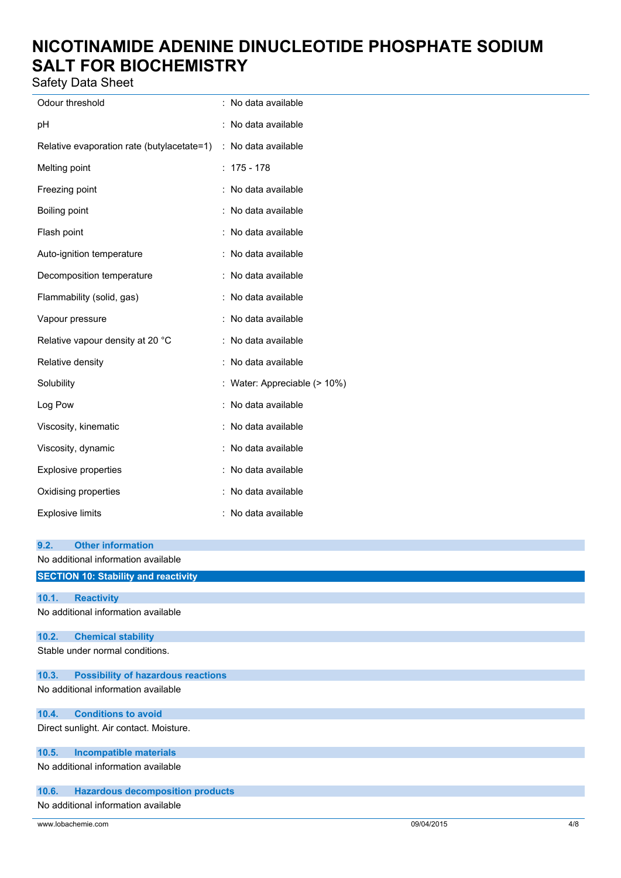Safety Data Sheet

| Odour threshold                            | : No data available          |
|--------------------------------------------|------------------------------|
| pH                                         | : No data available          |
| Relative evaporation rate (butylacetate=1) | : No data available          |
| Melting point                              | $: 175 - 178$                |
| Freezing point                             | : No data available          |
| Boiling point                              | : No data available          |
| Flash point                                | : No data available          |
| Auto-ignition temperature                  | : No data available          |
| Decomposition temperature                  | : No data available          |
| Flammability (solid, gas)                  | : No data available          |
| Vapour pressure                            | : No data available          |
| Relative vapour density at 20 °C           | : No data available          |
| Relative density                           | : No data available          |
| Solubility                                 | : Water: Appreciable (> 10%) |
| Log Pow                                    | : No data available          |
| Viscosity, kinematic                       | : No data available          |
| Viscosity, dynamic                         | : No data available          |
| <b>Explosive properties</b>                | : No data available          |
| Oxidising properties                       | : No data available          |
| <b>Explosive limits</b>                    | : No data available          |
| 9 <sub>2</sub><br>Other information        |                              |

| J.Z.  | <b>UUIGI IIIIUIIIIAUUII</b>                 |
|-------|---------------------------------------------|
|       | No additional information available         |
|       | <b>SECTION 10: Stability and reactivity</b> |
|       |                                             |
| 10.1. | <b>Reactivity</b>                           |
|       | No additional information available         |
| 10.2. | <b>Chemical stability</b>                   |
|       | Stable under normal conditions.             |
| 10.3. | <b>Possibility of hazardous reactions</b>   |
|       | No additional information available         |
| 10.4. | <b>Conditions to avoid</b>                  |
|       | Direct sunlight. Air contact. Moisture.     |
| 10.5. | <b>Incompatible materials</b>               |
|       | No additional information available         |
| 10.6. | <b>Hazardous decomposition products</b>     |
|       | No additional information available         |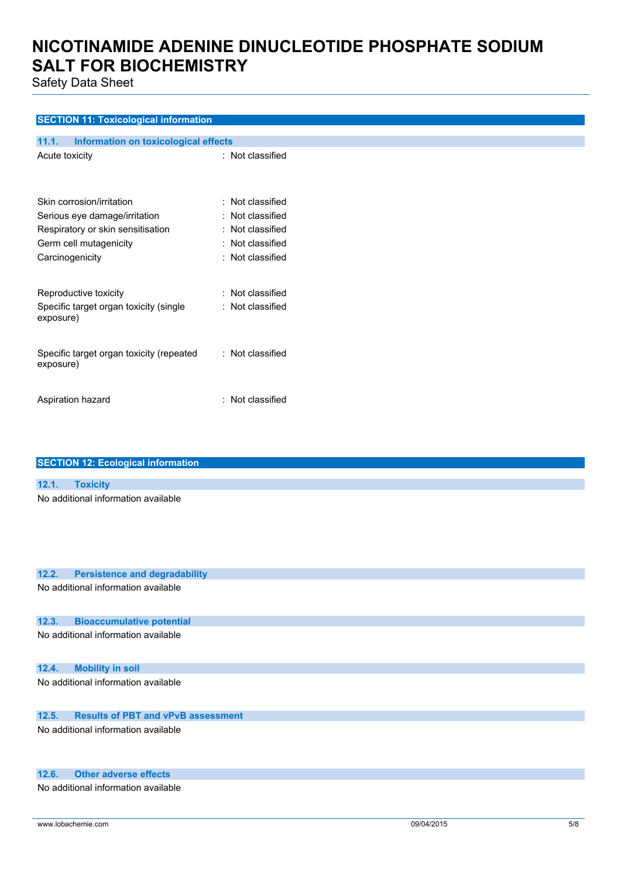Safety Data Sheet

## **SECTION 11: Toxicological information**

| Information on toxicological effects<br>11.1.                                                                                                |                                                                                                                              |
|----------------------------------------------------------------------------------------------------------------------------------------------|------------------------------------------------------------------------------------------------------------------------------|
| Acute toxicity                                                                                                                               | : Not classified                                                                                                             |
| Skin corrosion/irritation<br>Serious eye damage/irritation<br>Respiratory or skin sensitisation<br>Germ cell mutagenicity<br>Carcinogenicity | $\colon$ Not classified<br>$\colon$ Not classified<br>$\colon$ Not classified<br>: Not classified<br>$\colon$ Not classified |
| Reproductive toxicity<br>Specific target organ toxicity (single<br>exposure)                                                                 | : Not classified<br>: Not classified                                                                                         |
| Specific target organ toxicity (repeated<br>exposure)                                                                                        | : Not classified                                                                                                             |
| Aspiration hazard                                                                                                                            | : Not classified                                                                                                             |

|       | <b>SECTION 12: Ecological information</b>                                                                                                                                                                                        |
|-------|----------------------------------------------------------------------------------------------------------------------------------------------------------------------------------------------------------------------------------|
|       |                                                                                                                                                                                                                                  |
| 12.1. | <b>Toxicity</b>                                                                                                                                                                                                                  |
|       | No additional information available                                                                                                                                                                                              |
|       |                                                                                                                                                                                                                                  |
|       |                                                                                                                                                                                                                                  |
|       |                                                                                                                                                                                                                                  |
|       |                                                                                                                                                                                                                                  |
| 12.2. | <b>Persistence and degradability</b>                                                                                                                                                                                             |
|       | $\mathbf{r}$ , and the set of the set of the set of the set of the set of the set of the set of the set of the set of the set of the set of the set of the set of the set of the set of the set of the set of the set of the set |

No additional information available

## **12.3. Bioaccumulative potential**

No additional information available

## **12.4. Mobility in soil**

No additional information available

## **12.5. Results of PBT and vPvB assessment**

No additional information available

### **12.6. Other adverse effects**

No additional information available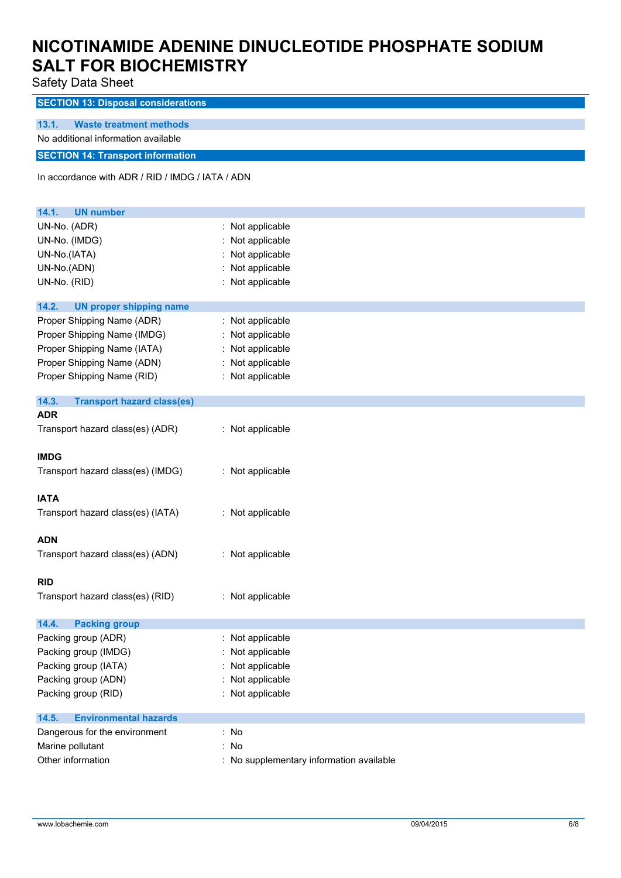| Safety Data Sheet                                |                                          |  |
|--------------------------------------------------|------------------------------------------|--|
| <b>SECTION 13: Disposal considerations</b>       |                                          |  |
| 13.1.<br><b>Waste treatment methods</b>          |                                          |  |
| No additional information available              |                                          |  |
|                                                  |                                          |  |
| <b>SECTION 14: Transport information</b>         |                                          |  |
| In accordance with ADR / RID / IMDG / IATA / ADN |                                          |  |
|                                                  |                                          |  |
| 14.1.<br><b>UN number</b>                        |                                          |  |
| UN-No. (ADR)                                     | : Not applicable                         |  |
| UN-No. (IMDG)                                    | : Not applicable                         |  |
| UN-No.(IATA)                                     | : Not applicable                         |  |
| UN-No.(ADN)                                      | : Not applicable                         |  |
| UN-No. (RID)                                     | : Not applicable                         |  |
|                                                  |                                          |  |
| 14.2.<br><b>UN proper shipping name</b>          |                                          |  |
| Proper Shipping Name (ADR)                       | : Not applicable                         |  |
| Proper Shipping Name (IMDG)                      | : Not applicable                         |  |
| Proper Shipping Name (IATA)                      | : Not applicable                         |  |
| Proper Shipping Name (ADN)                       | : Not applicable                         |  |
| Proper Shipping Name (RID)                       | : Not applicable                         |  |
| 14.3.<br><b>Transport hazard class(es)</b>       |                                          |  |
| <b>ADR</b>                                       |                                          |  |
| Transport hazard class(es) (ADR)                 | : Not applicable                         |  |
|                                                  |                                          |  |
| <b>IMDG</b>                                      |                                          |  |
| Transport hazard class(es) (IMDG)                | : Not applicable                         |  |
|                                                  |                                          |  |
| <b>IATA</b>                                      |                                          |  |
| Transport hazard class(es) (IATA)                | : Not applicable                         |  |
| <b>ADN</b>                                       |                                          |  |
| Transport hazard class(es) (ADN)                 | : Not applicable                         |  |
|                                                  |                                          |  |
| <b>RID</b>                                       |                                          |  |
| Transport hazard class(es) (RID)                 | : Not applicable                         |  |
|                                                  |                                          |  |
| 14.4.<br><b>Packing group</b>                    |                                          |  |
| Packing group (ADR)                              | : Not applicable                         |  |
| Packing group (IMDG)                             | Not applicable                           |  |
| Packing group (IATA)                             | : Not applicable                         |  |
| Packing group (ADN)                              | : Not applicable                         |  |
| Packing group (RID)                              | : Not applicable                         |  |
| 14.5.<br><b>Environmental hazards</b>            |                                          |  |
| Dangerous for the environment                    | : No                                     |  |
| Marine pollutant                                 | : No                                     |  |
| Other information                                | : No supplementary information available |  |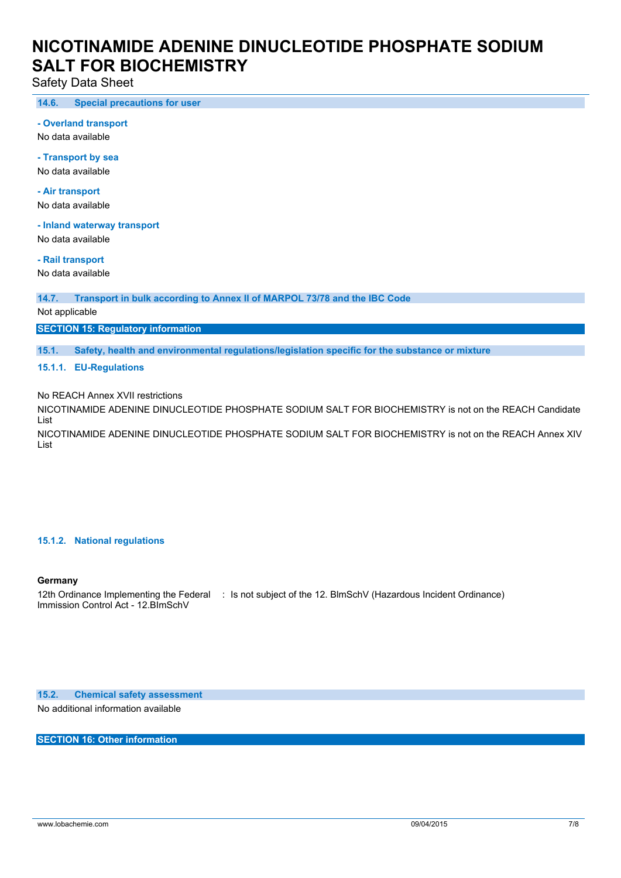Safety Data Sheet

**14.6. Special precautions for user**

**- Overland transport**

No data available

**- Transport by sea** No data available

**- Air transport** No data available

**- Inland waterway transport**

No data available

**- Rail transport**

No data available

**14.7. Transport in bulk according to Annex II of MARPOL 73/78 and the IBC Code**

Not applicable

**SECTION 15: Regulatory information**

**15.1. Safety, health and environmental regulations/legislation specific for the substance or mixture**

**15.1.1. EU-Regulations**

No REACH Annex XVII restrictions

NICOTINAMIDE ADENINE DINUCLEOTIDE PHOSPHATE SODIUM SALT FOR BIOCHEMISTRY is not on the REACH Candidate List

NICOTINAMIDE ADENINE DINUCLEOTIDE PHOSPHATE SODIUM SALT FOR BIOCHEMISTRY is not on the REACH Annex XIV List

#### **15.1.2. National regulations**

## **Germany**

12th Ordinance Implementing the Federal : Is not subject of the 12. BlmSchV (Hazardous Incident Ordinance) Immission Control Act - 12.BImSchV

**15.2. Chemical safety assessment**

No additional information available

**SECTION 16: Other information**